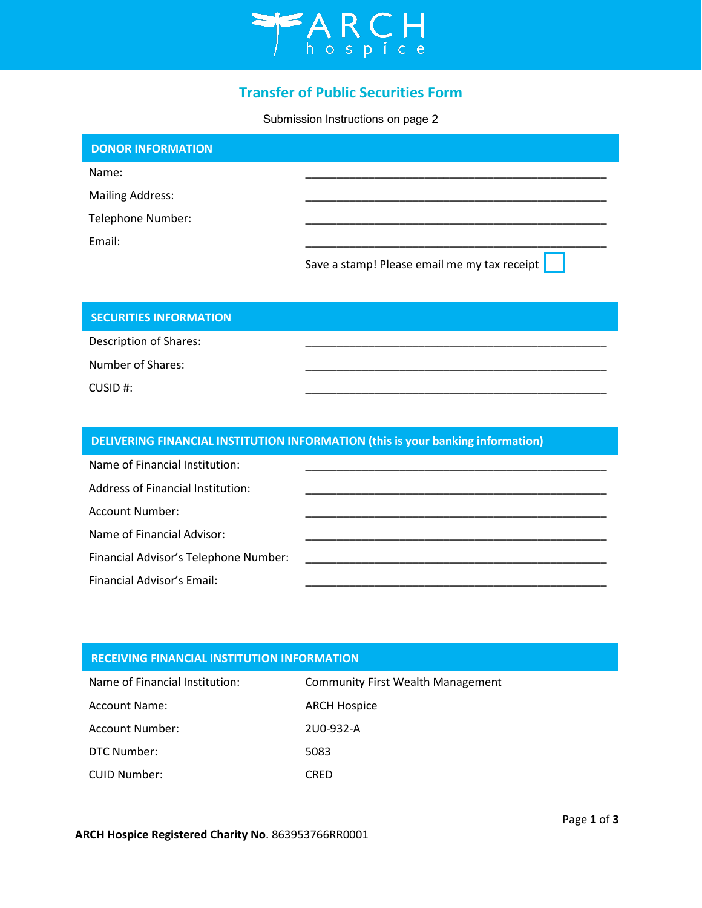

# **Transfer of Public Securities Form**

Submission Instructions on page 2

| <b>DONOR INFORMATION</b> |                                              |
|--------------------------|----------------------------------------------|
| Name:                    |                                              |
| <b>Mailing Address:</b>  |                                              |
| Telephone Number:        |                                              |
| Email:                   |                                              |
|                          | Save a stamp! Please email me my tax receipt |

\_\_\_\_\_\_\_\_\_\_\_\_\_\_\_\_\_\_\_\_\_\_\_\_\_\_\_\_\_\_\_\_\_\_\_\_\_\_\_\_\_\_\_\_\_\_\_\_

\_\_\_\_\_\_\_\_\_\_\_\_\_\_\_\_\_\_\_\_\_\_\_\_\_\_\_\_\_\_\_\_\_\_\_\_\_\_\_\_\_\_\_\_\_\_\_\_

\_\_\_\_\_\_\_\_\_\_\_\_\_\_\_\_\_\_\_\_\_\_\_\_\_\_\_\_\_\_\_\_\_\_\_\_\_\_\_\_\_\_\_\_\_\_\_\_

## **SECURITIES INFORMATION**

Description of Shares:

Number of Shares:

CUSID #:

# **DELIVERING FINANCIAL INSTITUTION INFORMATION (this is your banking information)**

| Name of Financial Institution:        |  |
|---------------------------------------|--|
| Address of Financial Institution:     |  |
| <b>Account Number:</b>                |  |
| Name of Financial Advisor:            |  |
| Financial Advisor's Telephone Number: |  |
| Financial Advisor's Email:            |  |

### **RECEIVING FINANCIAL INSTITUTION INFORMATION**

| Name of Financial Institution: | <b>Community First Wealth Management</b> |
|--------------------------------|------------------------------------------|
| <b>Account Name:</b>           | <b>ARCH Hospice</b>                      |
| Account Number:                | 2U0-932-A                                |
| DTC Number:                    | 5083                                     |
| CUID Number:                   | CRED                                     |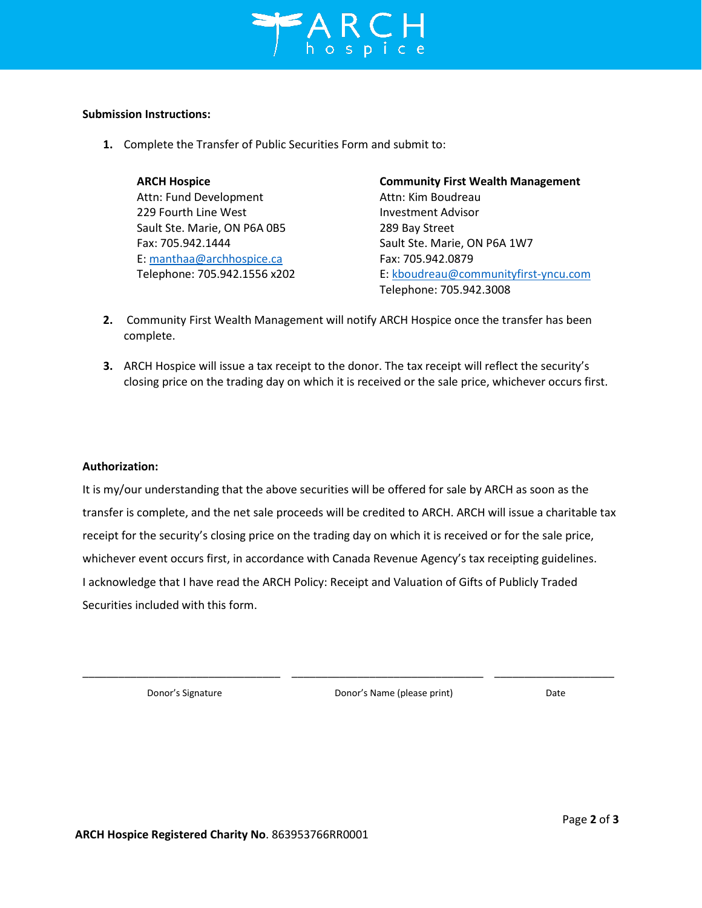

#### **Submission Instructions:**

**1.** Complete the Transfer of Public Securities Form and submit to:

| <b>ARCH Hospice</b>          | <b>Community First Wealth Management</b> |
|------------------------------|------------------------------------------|
| Attn: Fund Development       | Attn: Kim Boudreau                       |
| 229 Fourth Line West         | <b>Investment Advisor</b>                |
| Sault Ste. Marie, ON P6A 0B5 | 289 Bay Street                           |
| Fax: 705.942.1444            | Sault Ste. Marie, ON P6A 1W7             |
| E: manthaa@archhospice.ca    | Fax: 705.942.0879                        |
| Telephone: 705.942.1556 x202 | E: kboudreau@communityfirst-yncu.com     |
|                              | Telephone: 705.942.3008                  |

- **2.** Community First Wealth Management will notify ARCH Hospice once the transfer has been complete.
- **3.** ARCH Hospice will issue a tax receipt to the donor. The tax receipt will reflect the security's closing price on the trading day on which it is received or the sale price, whichever occurs first.

#### **Authorization:**

It is my/our understanding that the above securities will be offered for sale by ARCH as soon as the transfer is complete, and the net sale proceeds will be credited to ARCH. ARCH will issue a charitable tax receipt for the security's closing price on the trading day on which it is received or for the sale price, whichever event occurs first, in accordance with Canada Revenue Agency's tax receipting guidelines. I acknowledge that I have read the ARCH Policy: Receipt and Valuation of Gifts of Publicly Traded Securities included with this form.

\_\_\_\_\_\_\_\_\_\_\_\_\_\_\_\_\_\_\_\_\_\_\_\_\_\_\_\_\_\_\_\_\_ \_\_\_\_\_\_\_\_\_\_\_\_\_\_\_\_\_\_\_\_\_\_\_\_\_\_\_\_\_\_\_\_ \_\_\_\_\_\_\_\_\_\_\_\_\_\_\_\_\_\_\_\_

Donor's Signature Donor's Name (please print) Date